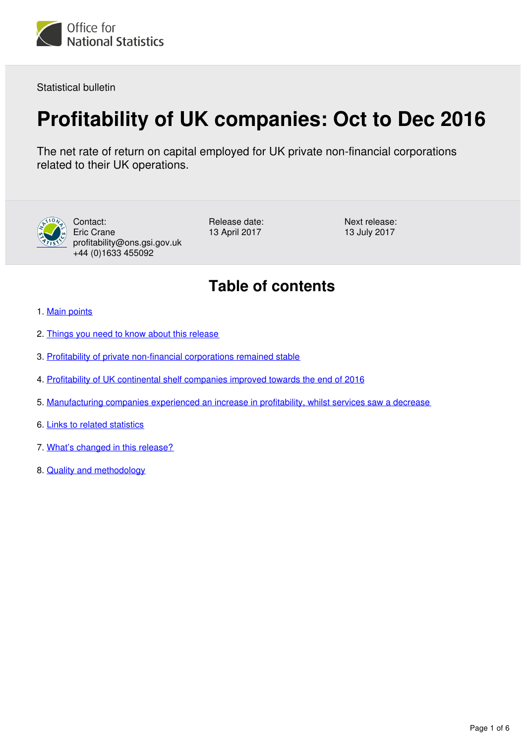

Statistical bulletin

# **Profitability of UK companies: Oct to Dec 2016**

The net rate of return on capital employed for UK private non-financial corporations related to their UK operations.



Contact: Eric Crane profitability@ons.gsi.gov.uk +44 (0)1633 455092

Release date: 13 April 2017

Next release: 13 July 2017

# **Table of contents**

- 1. [Main points](#page-1-0)
- 2. [Things you need to know about this release](#page-1-1)
- 3. [Profitability of private non-financial corporations remained stable](#page-2-0)
- 4. [Profitability of UK continental shelf companies improved towards the end of 2016](#page-3-0)
- 5. [Manufacturing companies experienced an increase in profitability, whilst services saw a decrease](#page-3-1)
- 6. [Links to related statistics](#page-4-0)
- 7. [What's changed in this release?](#page-5-0)
- 8. [Quality and methodology](#page-5-1)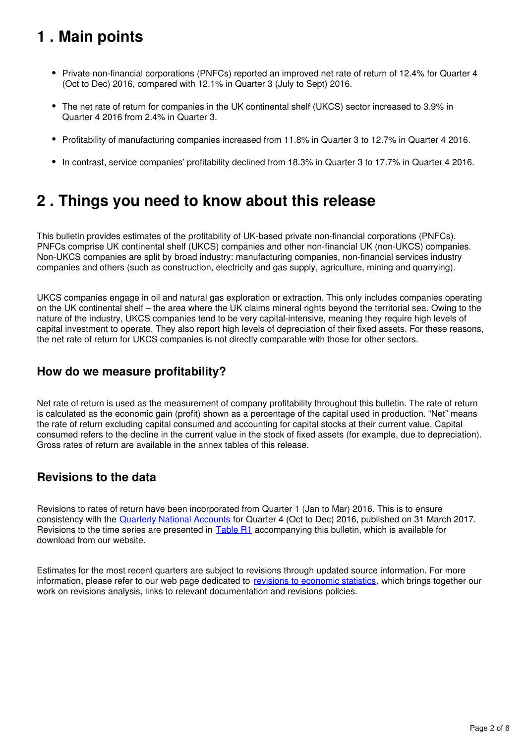# <span id="page-1-0"></span>**1 . Main points**

- Private non-financial corporations (PNFCs) reported an improved net rate of return of 12.4% for Quarter 4 (Oct to Dec) 2016, compared with 12.1% in Quarter 3 (July to Sept) 2016.
- The net rate of return for companies in the UK continental shelf (UKCS) sector increased to 3.9% in Quarter 4 2016 from 2.4% in Quarter 3.
- Profitability of manufacturing companies increased from 11.8% in Quarter 3 to 12.7% in Quarter 4 2016.
- In contrast, service companies' profitability declined from 18.3% in Quarter 3 to 17.7% in Quarter 4 2016.

# <span id="page-1-1"></span>**2 . Things you need to know about this release**

This bulletin provides estimates of the profitability of UK-based private non-financial corporations (PNFCs). PNFCs comprise UK continental shelf (UKCS) companies and other non-financial UK (non-UKCS) companies. Non-UKCS companies are split by broad industry: manufacturing companies, non-financial services industry companies and others (such as construction, electricity and gas supply, agriculture, mining and quarrying).

UKCS companies engage in oil and natural gas exploration or extraction. This only includes companies operating on the UK continental shelf – the area where the UK claims mineral rights beyond the territorial sea. Owing to the nature of the industry, UKCS companies tend to be very capital-intensive, meaning they require high levels of capital investment to operate. They also report high levels of depreciation of their fixed assets. For these reasons, the net rate of return for UKCS companies is not directly comparable with those for other sectors.

## **How do we measure profitability?**

Net rate of return is used as the measurement of company profitability throughout this bulletin. The rate of return is calculated as the economic gain (profit) shown as a percentage of the capital used in production. "Net" means the rate of return excluding capital consumed and accounting for capital stocks at their current value. Capital consumed refers to the decline in the current value in the stock of fixed assets (for example, due to depreciation). Gross rates of return are available in the annex tables of this release.

## **Revisions to the data**

Revisions to rates of return have been incorporated from Quarter 1 (Jan to Mar) 2016. This is to ensure consistency with the [Quarterly National Accounts](https://www.ons.gov.uk/economy/grossdomesticproductgdp/bulletins/quarterlynationalaccounts/octtodec2016) for Quarter 4 (Oct to Dec) 2016, published on 31 March 2017. Revisions to the time series are presented in  $Table R1$  accompanying this bulletin, which is available for download from our website.

Estimates for the most recent quarters are subject to revisions through updated source information. For more information, please refer to our web page dedicated to [revisions to economic statistics](http://www.ons.gov.uk/methodology/methodologytopicsandstatisticalconcepts/revisions/revisionspoliciesforeconomicstatistics), which brings together our work on revisions analysis, links to relevant documentation and revisions policies.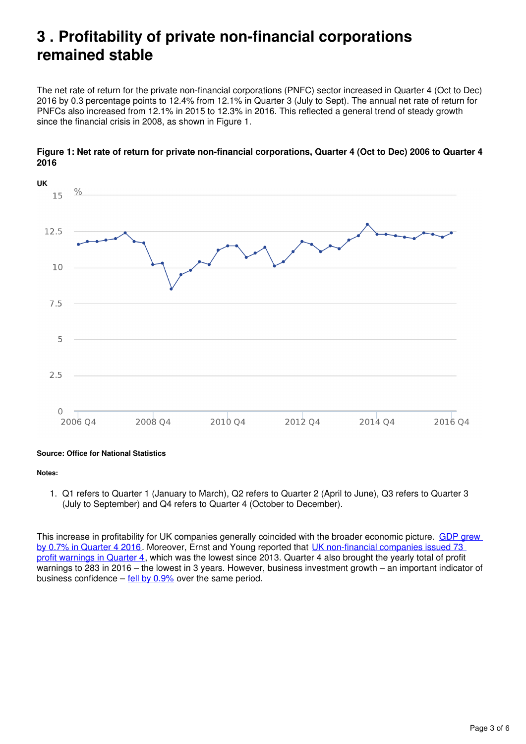## <span id="page-2-0"></span>**3 . Profitability of private non-financial corporations remained stable**

The net rate of return for the private non-financial corporations (PNFC) sector increased in Quarter 4 (Oct to Dec) 2016 by 0.3 percentage points to 12.4% from 12.1% in Quarter 3 (July to Sept). The annual net rate of return for PNFCs also increased from 12.1% in 2015 to 12.3% in 2016. This reflected a general trend of steady growth since the financial crisis in 2008, as shown in Figure 1.



#### **Figure 1: Net rate of return for private non-financial corporations, Quarter 4 (Oct to Dec) 2006 to Quarter 4 2016**

#### **Source: Office for National Statistics**

#### **Notes:**

1. Q1 refers to Quarter 1 (January to March), Q2 refers to Quarter 2 (April to June), Q3 refers to Quarter 3 (July to September) and Q4 refers to Quarter 4 (October to December).

This increase in profitability for UK companies generally coincided with the broader economic picture. GDP grew [by 0.7% in Quarter 4 2016.](https://www.ons.gov.uk/economy/grossdomesticproductgdp/bulletins/quarterlynationalaccounts/octtodec2016) Moreover, Ernst and Young reported that [UK non-financial companies issued 73](http://www.ey.com/Publication/vwLUAssets/ey-uk-profit-warnings-q4-2016/$FILE/EY-UK-profit-warnings-Q4-2016.pdf)  [profit warnings in Quarter 4](http://www.ey.com/Publication/vwLUAssets/ey-uk-profit-warnings-q4-2016/$FILE/EY-UK-profit-warnings-Q4-2016.pdf), which was the lowest since 2013. Quarter 4 also brought the yearly total of profit warnings to 283 in 2016 – the lowest in 3 years. However, business investment growth – an important indicator of business confidence – fell by  $0.9\%$  over the same period.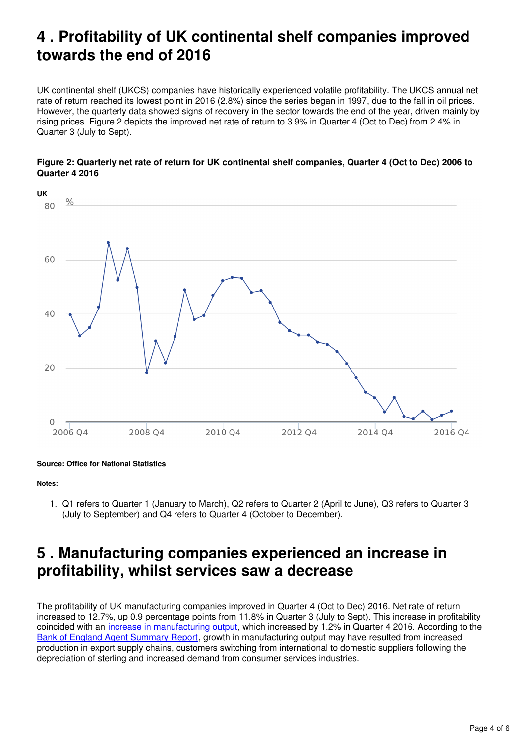# <span id="page-3-0"></span>**4 . Profitability of UK continental shelf companies improved towards the end of 2016**

UK continental shelf (UKCS) companies have historically experienced volatile profitability. The UKCS annual net rate of return reached its lowest point in 2016 (2.8%) since the series began in 1997, due to the fall in oil prices. However, the quarterly data showed signs of recovery in the sector towards the end of the year, driven mainly by rising prices. Figure 2 depicts the improved net rate of return to 3.9% in Quarter 4 (Oct to Dec) from 2.4% in Quarter 3 (July to Sept).





**Source: Office for National Statistics**

#### **Notes:**

1. Q1 refers to Quarter 1 (January to March), Q2 refers to Quarter 2 (April to June), Q3 refers to Quarter 3 (July to September) and Q4 refers to Quarter 4 (October to December).

## <span id="page-3-1"></span>**5 . Manufacturing companies experienced an increase in profitability, whilst services saw a decrease**

The profitability of UK manufacturing companies improved in Quarter 4 (Oct to Dec) 2016. Net rate of return increased to 12.7%, up 0.9 percentage points from 11.8% in Quarter 3 (July to Sept). This increase in profitability coincided with an [increase in manufacturing output](https://www.ons.gov.uk/economy/economicoutputandproductivity/output/bulletins/indexofproduction/feb2017), which increased by 1.2% in Quarter 4 2016. According to the [Bank of England Agent Summary Report,](http://www.bankofengland.co.uk/publications/Documents/agentssummary/2016/q4.pdf) growth in manufacturing output may have resulted from increased production in export supply chains, customers switching from international to domestic suppliers following the depreciation of sterling and increased demand from consumer services industries.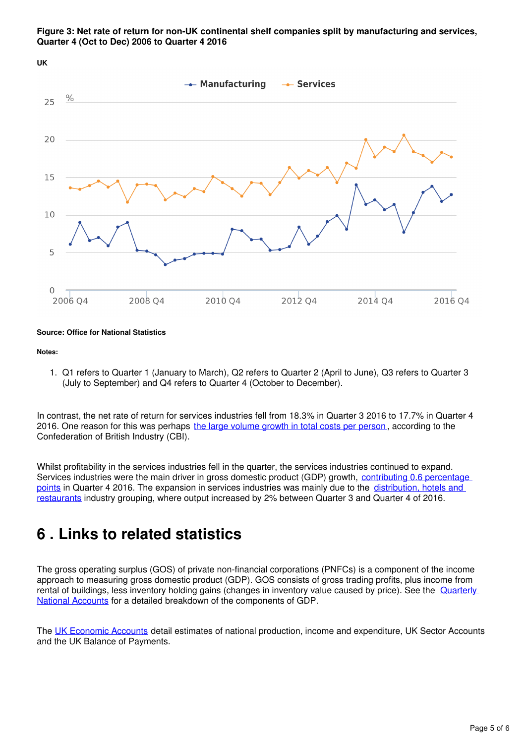



#### **Source: Office for National Statistics**

#### **Notes:**

1. Q1 refers to Quarter 1 (January to March), Q2 refers to Quarter 2 (April to June), Q3 refers to Quarter 3 (July to September) and Q4 refers to Quarter 4 (October to December).

In contrast, the net rate of return for services industries fell from 18.3% in Quarter 3 2016 to 17.7% in Quarter 4 2016. One reason for this was perhaps [the large volume growth in total costs per person](http://www.cbi.org.uk/business-issues/the-economy/business-surveys/), according to the Confederation of British Industry (CBI).

Whilst profitability in the services industries fell in the quarter, the services industries continued to expand. Services industries were the main driver in gross domestic product (GDP) growth, contributing 0.6 percentage [points](https://www.ons.gov.uk/economy/grossdomesticproductgdp/bulletins/quarterlynationalaccounts/octtodec2016) in Quarter 4 2016. The expansion in services industries was mainly due to the distribution, hotels and [restaurants](https://www.ons.gov.uk/economy/economicoutputandproductivity/output/bulletins/indexofservices/dec2016) industry grouping, where output increased by 2% between Quarter 3 and Quarter 4 of 2016.

## <span id="page-4-0"></span>**6 . Links to related statistics**

The gross operating surplus (GOS) of private non-financial corporations (PNFCs) is a component of the income approach to measuring gross domestic product (GDP). GOS consists of gross trading profits, plus income from rental of buildings, less inventory holding gains (changes in inventory value caused by price). See the **Quarterly** [National Accounts](https://www.ons.gov.uk/economy/grossdomesticproductgdp/bulletins/quarterlynationalaccounts/octtodec2016) for a detailed breakdown of the components of GDP.

The [UK Economic Accounts](https://www.ons.gov.uk/economy/grossdomesticproductgdp/datasets/unitedkingdomeconomicaccounts) detail estimates of national production, income and expenditure, UK Sector Accounts and the UK Balance of Payments.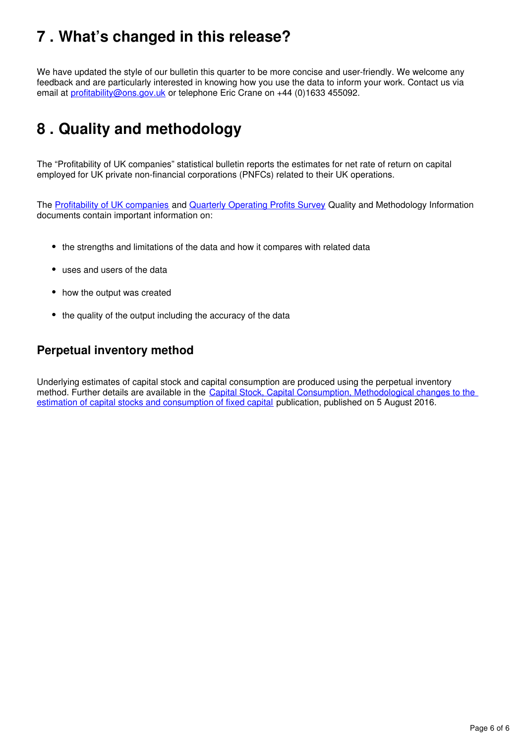# <span id="page-5-0"></span>**7 . What's changed in this release?**

We have updated the style of our bulletin this quarter to be more concise and user-friendly. We welcome any feedback and are particularly interested in knowing how you use the data to inform your work. Contact us via email at *profitability@ons.gov.uk* or telephone Eric Crane on +44 (0)1633 455092.

# <span id="page-5-1"></span>**8 . Quality and methodology**

The "Profitability of UK companies" statistical bulletin reports the estimates for net rate of return on capital employed for UK private non-financial corporations (PNFCs) related to their UK operations.

The[Profitability of UK companies](https://www.ons.gov.uk/economy/nationalaccounts/uksectoraccounts/qmis/profitabilityofukcompaniesqmi) and Quarterly Operating Profits Survey Quality and Methodology Information documents contain important information on:

- the strengths and limitations of the data and how it compares with related data
- uses and users of the data
- how the output was created
- the quality of the output including the accuracy of the data

### **Perpetual inventory method**

Underlying estimates of capital stock and capital consumption are produced using the perpetual inventory method. Further details are available in the [Capital Stock, Capital Consumption, Methodological changes to the](https://www.ons.gov.uk/economy/nationalaccounts/uksectoraccounts/bulletins/capitalstocksconsumptionoffixedcapital/2016)  [estimation of capital stocks and consumption of fixed capital](https://www.ons.gov.uk/economy/nationalaccounts/uksectoraccounts/bulletins/capitalstocksconsumptionoffixedcapital/2016) publication, published on 5 August 2016.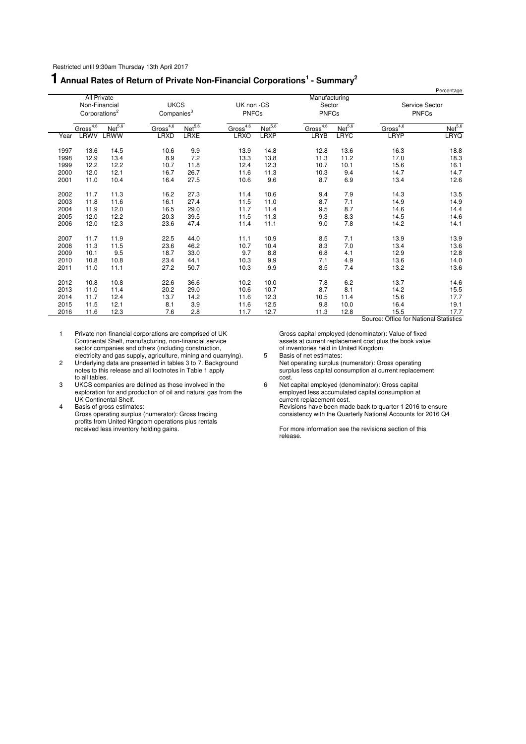## **1 Annual Rates of Return of Private Non-Financial Corporations<sup>1</sup> - Summary<sup>2</sup>**

|      |                                                                  |                    |                                       |                    |                            |                    |                                         |                    |                      | Percentage                     |
|------|------------------------------------------------------------------|--------------------|---------------------------------------|--------------------|----------------------------|--------------------|-----------------------------------------|--------------------|----------------------|--------------------------------|
|      | <b>All Private</b><br>Non-Financial<br>Corporations <sup>2</sup> |                    | <b>UKCS</b><br>Companies <sup>3</sup> |                    | UK non -CS<br><b>PNFCs</b> |                    | Manufacturing<br>Sector<br><b>PNFCs</b> |                    |                      | Service Sector<br><b>PNFCs</b> |
|      | Gross <sup>4,6</sup>                                             | Net <sup>5,6</sup> | Gross <sup>4,6</sup>                  | Net <sup>5,6</sup> | Gross <sup>4,6</sup>       | Net <sup>5,6</sup> | Gross <sup>4,6</sup>                    | Net <sup>5,6</sup> | Gross <sup>4,6</sup> | Net <sup>5,6</sup>             |
| Year | <b>LRWV</b>                                                      | LRWW               | <b>LRXD</b>                           | <b>LRXE</b>        | <b>LRXO</b>                | <b>LRXP</b>        | <b>LRYB</b>                             | <b>LRYC</b>        | <b>LRYP</b>          | <b>LRYQ</b>                    |
| 1997 | 13.6                                                             | 14.5               | 10.6                                  | 9.9                | 13.9                       | 14.8               | 12.8                                    | 13.6               | 16.3                 | 18.8                           |
| 1998 | 12.9                                                             | 13.4               | 8.9                                   | 7.2                | 13.3                       | 13.8               | 11.3                                    | 11.2               | 17.0                 | 18.3                           |
| 1999 | 12.2                                                             | 12.2               | 10.7                                  | 11.8               | 12.4                       | 12.3               | 10.7                                    | 10.1               | 15.6                 | 16.1                           |
| 2000 | 12.0                                                             | 12.1               | 16.7                                  | 26.7               | 11.6                       | 11.3               | 10.3                                    | 9.4                | 14.7                 | 14.7                           |
| 2001 | 11.0                                                             | 10.4               | 16.4                                  | 27.5               | 10.6                       | 9.6                | 8.7                                     | 6.9                | 13.4                 | 12.6                           |
| 2002 | 11.7                                                             | 11.3               | 16.2                                  | 27.3               | 11.4                       | 10.6               | 9.4                                     | 7.9                | 14.3                 | 13.5                           |
| 2003 | 11.8                                                             | 11.6               | 16.1                                  | 27.4               | 11.5                       | 11.0               | 8.7                                     | 7.1                | 14.9                 | 14.9                           |
| 2004 | 11.9                                                             | 12.0               | 16.5                                  | 29.0               | 11.7                       | 11.4               | 9.5                                     | 8.7                | 14.6                 | 14.4                           |
| 2005 | 12.0                                                             | 12.2               | 20.3                                  | 39.5               | 11.5                       | 11.3               | 9.3                                     | 8.3                | 14.5                 | 14.6                           |
| 2006 | 12.0                                                             | 12.3               | 23.6                                  | 47.4               | 11.4                       | 11.1               | 9.0                                     | 7.8                | 14.2                 | 14.1                           |
| 2007 | 11.7                                                             | 11.9               | 22.5                                  | 44.0               | 11.1                       | 10.9               | 8.5                                     | 7.1                | 13.9                 | 13.9                           |
| 2008 | 11.3                                                             | 11.5               | 23.6                                  | 46.2               | 10.7                       | 10.4               | 8.3                                     | 7.0                | 13.4                 | 13.6                           |
| 2009 | 10.1                                                             | 9.5                | 18.7                                  | 33.0               | 9.7                        | 8.8                | 6.8                                     | 4.1                | 12.9                 | 12.8                           |
| 2010 | 10.8                                                             | 10.8               | 23.4                                  | 44.1               | 10.3                       | 9.9                | 7.1                                     | 4.9                | 13.6                 | 14.0                           |
| 2011 | 11.0                                                             | 11.1               | 27.2                                  | 50.7               | 10.3                       | 9.9                | 8.5                                     | 7.4                | 13.2                 | 13.6                           |
| 2012 | 10.8                                                             | 10.8               | 22.6                                  | 36.6               | 10.2                       | 10.0               | 7.8                                     | 6.2                | 13.7                 | 14.6                           |
| 2013 | 11.0                                                             | 11.4               | 20.2                                  | 29.0               | 10.6                       | 10.7               | 8.7                                     | 8.1                | 14.2                 | 15.5                           |
| 2014 | 11.7                                                             | 12.4               | 13.7                                  | 14.2               | 11.6                       | 12.3               | 10.5                                    | 11.4               | 15.6                 | 17.7                           |
| 2015 | 11.5                                                             | 12.1               | 8.1                                   | 3.9                | 11.6                       | 12.5               | 9.8                                     | 10.0               | 16.4                 | 19.1                           |
| 2016 | 11.6                                                             | 12.3               | 7.6                                   | 2.8                | 11.7                       | 12.7               | 11.3                                    | 12.8               | 15.5                 | 17.7                           |

1 Private non-financial corporations are comprised of UK Gross capital employed (denominator): Value of fixed<br>
1 Continental Shelf, manufacturing, non-financial service<br>
1 Gross capital employed (denominator): Value of fix Continental Shelf, manufacturing, non-financial service and assets at current replacement cost plus the book value sector companies and others (including construction, example of inventories held in United Kingdom electricity and gas supply, agriculture, mining and quarrying).  $\qquad 5$  Basis of net estimates:

2 Underlying data are presented in tables 3 to 7. Background Net operating surplus (numerator): Gross operating to all tables. Cost.

3 UKCS companies are defined as those involved in the 6 Net capital employed (denominator): Gross capital exploration for and production of oil and natural gas from the employed less accumulated capital consumption at<br>UK Continental Shelf. Consumption at the employed less accumulated capital consumption at

4 Basis of gross estimates: Revisions have been made back to quarter 1 2016 to ensure<br>Gross operating surplus (numerator): Gross trading consistency with the Quarterly National Accounts for 2016 Q4 profits from United Kingdom operations plus rentals<br>received less inventory holding gains.

Source: Office for National Statistics

notes to this release and all footnotes in Table 1 apply<br>to all table surplus less capital consumption at current replacement<br>to all tables.<br>cost.

UK Continental Shelf. Current replacement cost.<br>
Basis of gross estimates: Current replacement cost.<br>
Basis of gross estimates: Current replacement cost. consistency with the Quarterly National Accounts for 2016 Q4

> For more information see the revisions section of this release.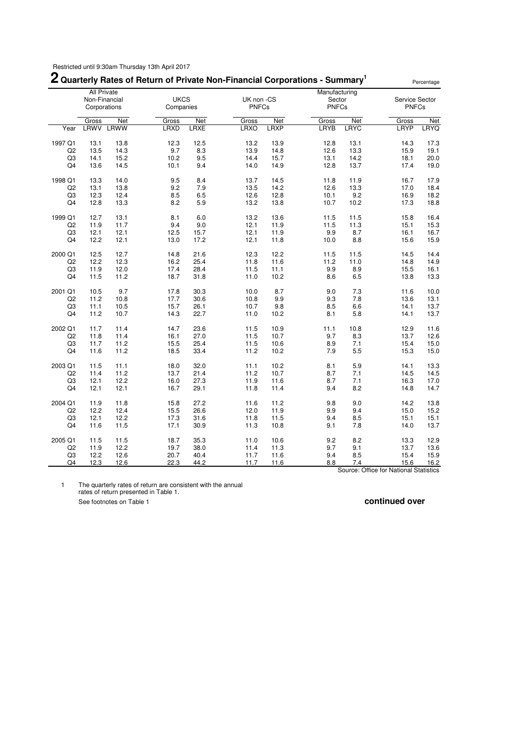## **2 Quarterly Rates of Return of Private Non-Financial Corporations - Summary<sup>1</sup>**

|                |                    |                  |                          |                    |                            |                           | ∠ Quarterly Rates of Return of Private Non-Financial Corporations - Summary |                           |                                | Percentage         |
|----------------|--------------------|------------------|--------------------------|--------------------|----------------------------|---------------------------|-----------------------------------------------------------------------------|---------------------------|--------------------------------|--------------------|
|                | <b>All Private</b> |                  |                          |                    |                            |                           | Manufacturing                                                               |                           |                                |                    |
|                | Corporations       | Non-Financial    | <b>UKCS</b><br>Companies |                    | UK non -CS<br><b>PNFCs</b> |                           | Sector<br><b>PNFCs</b>                                                      |                           | Service Sector<br><b>PNFCs</b> |                    |
|                |                    |                  |                          |                    |                            |                           |                                                                             |                           |                                |                    |
| Year           | Gross              | Net<br>LRWV LRWW | Gross<br><b>LRXD</b>     | Net<br><b>LRXE</b> | Gross<br>LRXO              | <b>Net</b><br><b>LRXP</b> | Gross<br>LRYB                                                               | <b>Net</b><br><b>LRYC</b> | Gross<br>LRYP                  | Net<br><b>LRYQ</b> |
|                |                    |                  |                          |                    |                            |                           |                                                                             |                           |                                |                    |
| 1997 Q1        | 13.1               | 13.8             | 12.3                     | 12.5               | 13.2                       | 13.9                      | 12.8                                                                        | 13.1                      | 14.3                           | 17.3               |
| Q <sub>2</sub> | 13.5               | 14.3             | 9.7                      | 8.3                | 13.9                       | 14.8                      | 12.6                                                                        | 13.3                      | 15.9                           | 19.1               |
| Q3             | 14.1               | 15.2             | 10.2                     | 9.5                | 14.4                       | 15.7                      | 13.1                                                                        | 14.2                      | 18.1                           | 20.0               |
| Q4             | 13.6               | 14.5             | 10.1                     | 9.4                | 14.0                       | 14.9                      | 12.8                                                                        | 13.7                      | 17.4                           | 19.0               |
| 1998 Q1        | 13.3               | 14.0             | 9.5                      | 8.4                | 13.7                       | 14.5                      | 11.8                                                                        | 11.9                      | 16.7                           | 17.9               |
| Q <sub>2</sub> | 13.1               | 13.8             | 9.2                      | 7.9                | 13.5                       | 14.2                      | 12.6                                                                        | 13.3                      | 17.0                           | 18.4               |
| Q <sub>3</sub> | 12.3               | 12.4             | 8.5                      | 6.5                | 12.6                       | 12.8                      | 10.1                                                                        | 9.2                       | 16.9                           | 18.2               |
| Q4             | 12.8               | 13.3             | 8.2                      | 5.9                | 13.2                       | 13.8                      | 10.7                                                                        | 10.2                      | 17.3                           | 18.8               |
| 1999 Q1        | 12.7               | 13.1             | 8.1                      | 6.0                | 13.2                       | 13.6                      | 11.5                                                                        | 11.5                      | 15.8                           | 16.4               |
| Q <sub>2</sub> | 11.9               | 11.7             | 9.4                      | 9.0                | 12.1                       | 11.9                      | 11.5                                                                        | 11.3                      | 15.1                           | 15.3               |
| Q <sub>3</sub> | 12.1               | 12.1             | 12.5                     | 15.7               | 12.1                       | 11.9                      | 9.9                                                                         | 8.7                       | 16.1                           | 16.7               |
| Q4             | 12.2               | 12.1             | 13.0                     | 17.2               | 12.1                       | 11.8                      | 10.0                                                                        | 8.8                       | 15.6                           | 15.9               |
|                |                    |                  |                          |                    |                            |                           |                                                                             |                           |                                |                    |
| 2000 Q1        | 12.5               | 12.7             | 14.8                     | 21.6               | 12.3                       | 12.2                      | 11.5                                                                        | 11.5                      | 14.5                           | 14.4               |
| Q <sub>2</sub> | 12.2               | 12.3             | 16.2                     | 25.4               | 11.8                       | 11.6                      | 11.2                                                                        | 11.0                      | 14.8                           | 14.9               |
| Q3             | 11.9               | 12.0             | 17.4                     | 28.4               | 11.5                       | 11.1                      | 9.9                                                                         | 8.9                       | 15.5                           | 16.1               |
| Q4             | 11.5               | 11.2             | 18.7                     | 31.8               | 11.0                       | 10.2                      | 8.6                                                                         | 6.5                       | 13.8                           | 13.3               |
| 2001 Q1        | 10.5               | 9.7              | 17.8                     | 30.3               | 10.0                       | 8.7                       | 9.0                                                                         | 7.3                       | 11.6                           | 10.0               |
| Q <sub>2</sub> | 11.2               | 10.8             | 17.7                     | 30.6               | 10.8                       | 9.9                       | 9.3                                                                         | 7.8                       | 13.6                           | 13.1               |
| Q3             | 11.1               | 10.5             | 15.7                     | 26.1               | 10.7                       | 9.8                       | 8.5                                                                         | 6.6                       | 14.1                           | 13.7               |
| Q4             | 11.2               | 10.7             | 14.3                     | 22.7               | 11.0                       | 10.2                      | 8.1                                                                         | 5.8                       | 14.1                           | 13.7               |
| 2002 Q1        | 11.7               | 11.4             | 14.7                     | 23.6               | 11.5                       | 10.9                      | 11.1                                                                        | 10.8                      | 12.9                           | 11.6               |
| Q <sub>2</sub> | 11.8               | 11.4             | 16.1                     | 27.0               | 11.5                       | 10.7                      | 9.7                                                                         | 8.3                       | 13.7                           | 12.6               |
| Q3             | 11.7               | 11.2             | 15.5                     | 25.4               | 11.5                       | 10.6                      | 8.9                                                                         | 7.1                       | 15.4                           | 15.0               |
| Q4             | 11.6               | 11.2             | 18.5                     | 33.4               | 11.2                       | 10.2                      | 7.9                                                                         | 5.5                       | 15.3                           | 15.0               |
| 2003 Q1        | 11.5               | 11.1             | 18.0                     | 32.0               | 11.1                       | 10.2                      | 8.1                                                                         | 5.9                       | 14.1                           | 13.3               |
| Q <sub>2</sub> | 11.4               | 11.2             | 13.7                     | 21.4               | 11.2                       | 10.7                      | 8.7                                                                         | 7.1                       | 14.5                           | 14.5               |
| Q3             | 12.1               | 12.2             | 16.0                     | 27.3               | 11.9                       | 11.6                      | 8.7                                                                         | 7.1                       | 16.3                           | 17.0               |
| Q4             | 12.1               | 12.1             | 16.7                     | 29.1               | 11.8                       | 11.4                      | 9.4                                                                         | 8.2                       | 14.8                           | 14.7               |
|                |                    |                  |                          |                    |                            |                           |                                                                             |                           |                                |                    |
| 2004 Q1        | 11.9               | 11.8             | 15.8                     | 27.2               | 11.6                       | 11.2                      | 9.8                                                                         | 9.0                       | 14.2                           | 13.8               |
| Q <sub>2</sub> | 12.2               | 12.4             | 15.5                     | 26.6               | 12.0                       | 11.9                      | 9.9                                                                         | 9.4                       | 15.0                           | 15.2               |
| Q3             | 12.1               | 12.2             | 17.3                     | 31.6               | 11.8                       | 11.5                      | 9.4                                                                         | 8.5                       | 15.1                           | 15.1               |
| Q4             | 11.6               | 11.5             | 17.1                     | 30.9               | 11.3                       | 10.8                      | 9.1                                                                         | 7.8                       | 14.0                           | 13.7               |
| 2005 Q1        | 11.5               | 11.5             | 18.7                     | 35.3               | 11.0                       | 10.6                      | 9.2                                                                         | 8.2                       | 13.3                           | 12.9               |
| Q <sub>2</sub> | 11.9               | 12.2             | 19.7                     | 38.0               | 11.4                       | 11.3                      | 9.7                                                                         | 9.1                       | 13.7                           | 13.6               |
| Q3             | 12.2               | 12.6             | 20.7                     | 40.4               | 11.7                       | 11.6                      | 9.4                                                                         | 8.5                       | 15.4                           | 15.9               |
| Q4             | 12.3               | 12.6             | 22.3                     | 44.2               | 11.7                       | 11.6                      | 8.8                                                                         | 7.4                       | 15.6                           | 16.2               |

Source: Office for National Statistics

1 The quarterly rates of return are consistent with the annual rates of return presented in Table 1. See footnotes on Table 1 **continued over**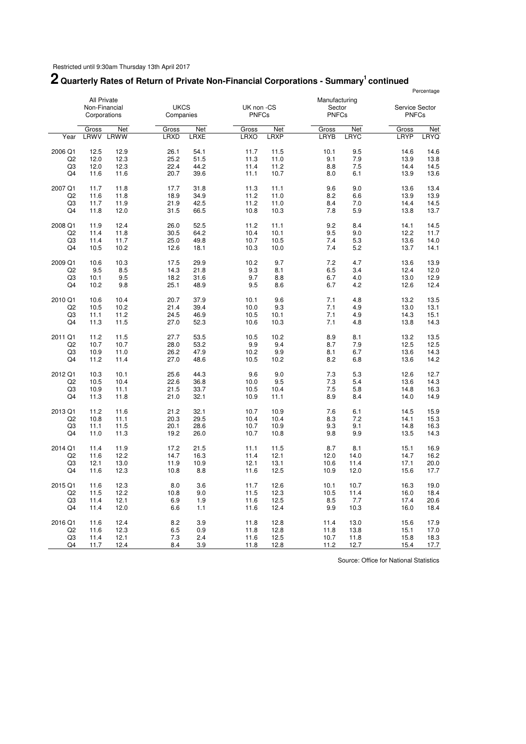#### **2 Quarterly Rates of Return of Private Non-Financial Corporations - Summary<sup>1</sup>continued** Percentage

|                           | <b>All Private</b><br>Non-Financial<br>Corporations |              | <b>UKCS</b><br>Companies |              | UK non -CS<br><b>PNFCs</b> |              | Manufacturing<br>Sector<br><b>PNFCs</b> |            | Service Sector<br><b>PNFCs</b> |              |
|---------------------------|-----------------------------------------------------|--------------|--------------------------|--------------|----------------------------|--------------|-----------------------------------------|------------|--------------------------------|--------------|
|                           | Gross                                               | Net          | Gross                    | Net          | Gross                      | Net          | Gross                                   | <b>Net</b> | Gross                          | Net          |
| Year                      | LRWV                                                | LRWW         | LRXD                     | LRXE         | <b>LRXO</b>                | <b>LRXP</b>  | LRYB                                    | LRYC       | LRYP                           | LRYQ         |
| 2006 Q1<br>Q <sub>2</sub> | 12.5<br>12.0                                        | 12.9<br>12.3 | 26.1<br>25.2             | 54.1<br>51.5 | 11.7<br>11.3               | 11.5<br>11.0 | 10.1<br>9.1                             | 9.5<br>7.9 | 14.6<br>13.9                   | 14.6<br>13.8 |
| Q3                        | 12.0                                                | 12.3         | 22.4                     | 44.2         | 11.4                       | 11.2         | 8.8                                     | 7.5        | 14.4                           | 14.5         |
| Q4                        | 11.6                                                | 11.6         | 20.7                     | 39.6         | 11.1                       | 10.7         | 8.0                                     | 6.1        | 13.9                           | 13.6         |
| 2007 Q1                   | 11.7                                                | 11.8         | 17.7                     | 31.8         | 11.3                       | 11.1         | 9.6                                     | 9.0        | 13.6                           | 13.4         |
| Q <sub>2</sub>            | 11.6                                                | 11.8         | 18.9                     | 34.9         | 11.2                       | 11.0         | 8.2                                     | 6.6        | 13.9                           | 13.9         |
| Q3                        | 11.7                                                | 11.9         | 21.9                     | 42.5         | 11.2                       | 11.0         | 8.4                                     | 7.0        | 14.4                           | 14.5         |
| Q4                        | 11.8                                                | 12.0         | 31.5                     | 66.5         | 10.8                       | 10.3         | 7.8                                     | 5.9        | 13.8                           | 13.7         |
| 2008 Q1                   | 11.9                                                | 12.4         | 26.0                     | 52.5         | 11.2                       | 11.1         | 9.2                                     | 8.4        | 14.1                           | 14.5         |
| Q <sub>2</sub>            | 11.4                                                | 11.8         | 30.5                     | 64.2         | 10.4                       | 10.1         | 9.5                                     | 9.0        | 12.2                           | 11.7         |
| Q3                        | 11.4                                                | 11.7         | 25.0                     | 49.8         | 10.7                       | 10.5         | 7.4                                     | 5.3        | 13.6                           | 14.0         |
| Q4                        | 10.5                                                | 10.2         | 12.6                     | 18.1         | 10.3                       | 10.0         | 7.4                                     | 5.2        | 13.7                           | 14.1         |
| 2009 Q1                   | 10.6                                                | 10.3         | 17.5                     | 29.9         | 10.2                       | 9.7          | 7.2                                     | 4.7        | 13.6                           | 13.9         |
| Q <sub>2</sub>            | 9.5                                                 | 8.5          | 14.3                     | 21.8         | 9.3                        | 8.1          | 6.5                                     | 3.4        | 12.4                           | 12.0         |
| Q <sub>3</sub>            | 10.1                                                | 9.5          | 18.2                     | 31.6         | 9.7                        | 8.8          | 6.7                                     | 4.0        | 13.0                           | 12.9         |
| Q4                        | 10.2                                                | 9.8          | 25.1                     | 48.9         | 9.5                        | 8.6          | 6.7                                     | 4.2        | 12.6                           | 12.4         |
| 2010 Q1                   | 10.6                                                | 10.4         | 20.7                     | 37.9         | 10.1                       | 9.6          | 7.1                                     | 4.8        | 13.2                           | 13.5         |
| Q2                        | 10.5                                                | 10.2         | 21.4                     | 39.4         | 10.0                       | 9.3          | 7.1                                     | 4.9        | 13.0                           | 13.1         |
| Q3                        | 11.1                                                | 11.2         | 24.5<br>27.0             | 46.9         | 10.5                       | 10.1         | 7.1                                     | 4.9        | 14.3                           | 15.1         |
| Q <sub>4</sub>            | 11.3                                                | 11.5         |                          | 52.3         | 10.6                       | 10.3         | 7.1                                     | 4.8        | 13.8                           | 14.3         |
| 2011 Q1                   | 11.2                                                | 11.5         | 27.7                     | 53.5         | 10.5                       | 10.2         | 8.9                                     | 8.1        | 13.2                           | 13.5         |
| Q <sub>2</sub>            | 10.7                                                | 10.7         | 28.0                     | 53.2         | 9.9                        | 9.4          | 8.7                                     | 7.9        | 12.5                           | 12.5         |
| Q <sub>3</sub><br>Q4      | 10.9<br>11.2                                        | 11.0<br>11.4 | 26.2<br>27.0             | 47.9<br>48.6 | 10.2<br>10.5               | 9.9<br>10.2  | 8.1<br>8.2                              | 6.7<br>6.8 | 13.6<br>13.6                   | 14.3<br>14.2 |
|                           |                                                     |              |                          |              |                            |              |                                         |            |                                |              |
| 2012 Q1                   | 10.3                                                | 10.1         | 25.6                     | 44.3         | 9.6                        | 9.0          | 7.3                                     | 5.3        | 12.6                           | 12.7         |
| Q2                        | 10.5                                                | 10.4         | 22.6                     | 36.8         | 10.0                       | 9.5<br>10.4  | 7.3<br>7.5                              | 5.4<br>5.8 | 13.6                           | 14.3<br>16.3 |
| Q3<br>Q4                  | 10.9<br>11.3                                        | 11.1<br>11.8 | 21.5<br>21.0             | 33.7<br>32.1 | 10.5<br>10.9               | 11.1         | 8.9                                     | 8.4        | 14.8<br>14.0                   | 14.9         |
|                           |                                                     |              |                          |              |                            |              |                                         |            |                                |              |
| 2013 Q1                   | 11.2                                                | 11.6         | 21.2                     | 32.1         | 10.7                       | 10.9         | 7.6                                     | 6.1        | 14.5                           | 15.9         |
| Q <sub>2</sub>            | 10.8                                                | 11.1         | 20.3                     | 29.5         | 10.4                       | 10.4         | 8.3                                     | 7.2        | 14.1                           | 15.3         |
| Q3                        | 11.1                                                | 11.5         | 20.1                     | 28.6         | 10.7                       | 10.9         | 9.3                                     | 9.1        | 14.8                           | 16.3         |
| Q4                        | 11.0                                                | 11.3         | 19.2                     | 26.0         | 10.7                       | 10.8         | 9.8                                     | 9.9        | 13.5                           | 14.3         |
| 2014 Q1                   | 11.4                                                | 11.9         | 17.2                     | 21.5         | 11.1                       | 11.5         | 8.7                                     | 8.1        | 15.1                           | 16.9         |
| Q <sub>2</sub>            | 11.6                                                | 12.2         | 14.7                     | 16.3         | 11.4                       | 12.1         | 12.0                                    | 14.0       | 14.7                           | 16.2         |
| Q3                        | 12.1                                                | 13.0         | 11.9                     | 10.9         | 12.1                       | 13.1         | 10.6                                    | 11.4       | 17.1                           | 20.0         |
| Q4                        | 11.6                                                | 12.3         | 10.8                     | 8.8          | 11.6                       | 12.5         | 10.9                                    | 12.0       | 15.6                           | 17.7         |
| 2015 Q1                   | 11.6                                                | 12.3         | 8.0                      | 3.6          | 11.7                       | 12.6         | 10.1                                    | 10.7       | 16.3                           | 19.0         |
| Q2                        | 11.5                                                | 12.2         | 10.8                     | 9.0          | 11.5                       | 12.3         | 10.5                                    | 11.4       | 16.0                           | 18.4         |
| Q <sub>3</sub>            | 11.4                                                | 12.1         | 6.9                      | 1.9          | 11.6                       | 12.5         | 8.5                                     | 7.7        | 17.4                           | 20.6         |
| Q <sub>4</sub>            | 11.4                                                | 12.0         | 6.6                      | 1.1          | 11.6                       | 12.4         | 9.9                                     | 10.3       | 16.0                           | 18.4         |
| 2016 Q1                   | 11.6                                                | 12.4         | 8.2                      | 3.9          | 11.8                       | 12.8         | 11.4                                    | 13.0       | 15.6                           | 17.9         |
| Q2                        | 11.6                                                | 12.3         | 6.5                      | 0.9          | 11.8                       | 12.8         | 11.8                                    | 13.8       | 15.1                           | 17.0         |
| Q3                        | 11.4                                                | 12.1         | 7.3                      | 2.4          | 11.6                       | 12.5         | 10.7                                    | 11.8       | 15.8                           | 18.3         |
| Q4                        | 11.7                                                | 12.4         | 8.4                      | 3.9          | 11.8                       | 12.8         | 11.2                                    | 12.7       | 15.4                           | 17.7         |

Source: Office for National Statistics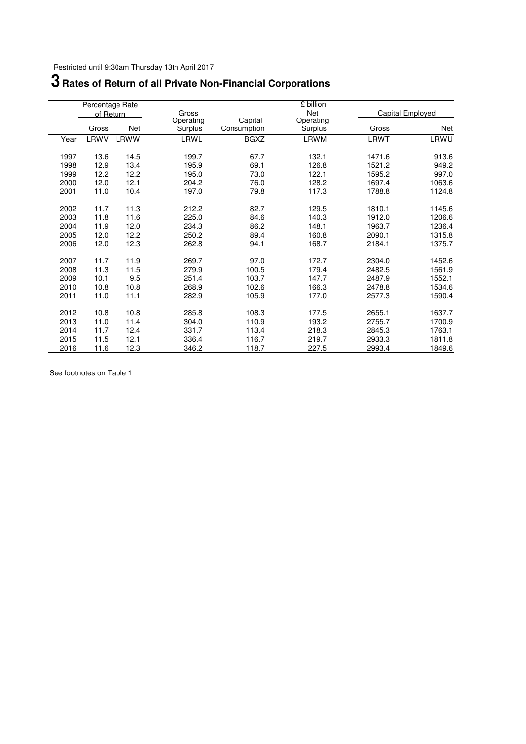# **Rates of Return of all Private Non-Financial Corporations**

|      | Percentage Rate |            |                      |                        | £ billion            |                  |            |
|------|-----------------|------------|----------------------|------------------------|----------------------|------------------|------------|
|      | of Return       |            | Gross                |                        | Net                  | Capital Employed |            |
|      | Gross           | <b>Net</b> | Operating<br>Surplus | Capital<br>Consumption | Operating<br>Surplus | Gross            | <b>Net</b> |
| Year | LRWV            | LRWW       | LRWL                 | <b>BGXZ</b>            | LRWM                 | <b>LRWT</b>      | LRWU       |
| 1997 | 13.6            | 14.5       | 199.7                | 67.7                   | 132.1                | 1471.6           | 913.6      |
| 1998 | 12.9            | 13.4       | 195.9                | 69.1                   | 126.8                | 1521.2           | 949.2      |
| 1999 | 12.2            | 12.2       | 195.0                | 73.0                   | 122.1                | 1595.2           | 997.0      |
| 2000 | 12.0            | 12.1       | 204.2                | 76.0                   | 128.2                | 1697.4           | 1063.6     |
| 2001 | 11.0            | 10.4       | 197.0                | 79.8                   | 117.3                | 1788.8           | 1124.8     |
| 2002 | 11.7            | 11.3       | 212.2                | 82.7                   | 129.5                | 1810.1           | 1145.6     |
| 2003 | 11.8            | 11.6       | 225.0                | 84.6                   | 140.3                | 1912.0           | 1206.6     |
| 2004 | 11.9            | 12.0       | 234.3                | 86.2                   | 148.1                | 1963.7           | 1236.4     |
| 2005 | 12.0            | 12.2       | 250.2                | 89.4                   | 160.8                | 2090.1           | 1315.8     |
| 2006 | 12.0            | 12.3       | 262.8                | 94.1                   | 168.7                | 2184.1           | 1375.7     |
| 2007 | 11.7            | 11.9       | 269.7                | 97.0                   | 172.7                | 2304.0           | 1452.6     |
| 2008 | 11.3            | 11.5       | 279.9                | 100.5                  | 179.4                | 2482.5           | 1561.9     |
| 2009 | 10.1            | 9.5        | 251.4                | 103.7                  | 147.7                | 2487.9           | 1552.1     |
| 2010 | 10.8            | 10.8       | 268.9                | 102.6                  | 166.3                | 2478.8           | 1534.6     |
| 2011 | 11.0            | 11.1       | 282.9                | 105.9                  | 177.0                | 2577.3           | 1590.4     |
| 2012 | 10.8            | 10.8       | 285.8                | 108.3                  | 177.5                | 2655.1           | 1637.7     |
| 2013 | 11.0            | 11.4       | 304.0                | 110.9                  | 193.2                | 2755.7           | 1700.9     |
| 2014 | 11.7            | 12.4       | 331.7                | 113.4                  | 218.3                | 2845.3           | 1763.1     |
| 2015 | 11.5            | 12.1       | 336.4                | 116.7                  | 219.7                | 2933.3           | 1811.8     |
| 2016 | 11.6            | 12.3       | 346.2                | 118.7                  | 227.5                | 2993.4           | 1849.6     |

See footnotes on Table 1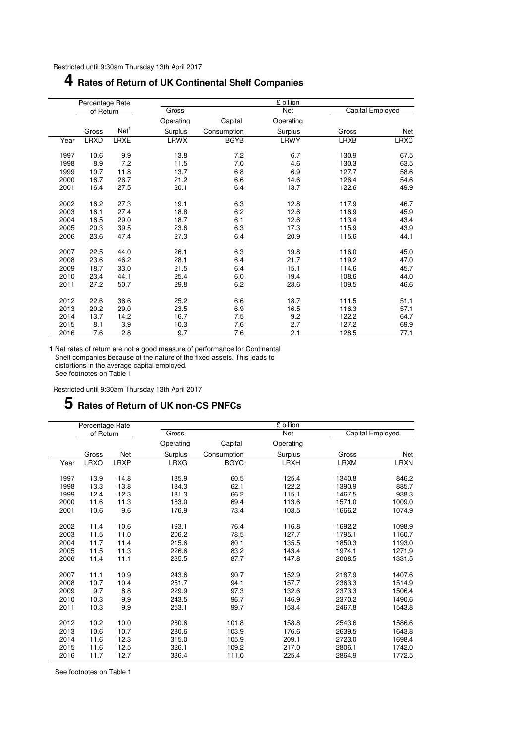## **4 Rates of Return of UK Continental Shelf Companies**

|      | Percentage Rate |                  |             |             | £ billion |             |                  |
|------|-----------------|------------------|-------------|-------------|-----------|-------------|------------------|
|      | of Return       |                  | Gross       |             | Net       |             | Capital Employed |
|      |                 |                  | Operating   | Capital     | Operating |             |                  |
|      | Gross           | Net <sup>1</sup> | Surplus     | Consumption | Surplus   | Gross       | Net              |
| Year | <b>LRXD</b>     | <b>LRXE</b>      | <b>LRWX</b> | <b>BGYB</b> | LRWY      | <b>LRXB</b> | <b>LRXC</b>      |
| 1997 | 10.6            | 9.9              | 13.8        | 7.2         | 6.7       | 130.9       | 67.5             |
| 1998 | 8.9             | 7.2              | 11.5        | 7.0         | 4.6       | 130.3       | 63.5             |
| 1999 | 10.7            | 11.8             | 13.7        | 6.8         | 6.9       | 127.7       | 58.6             |
| 2000 | 16.7            | 26.7             | 21.2        | 6.6         | 14.6      | 126.4       | 54.6             |
| 2001 | 16.4            | 27.5             | 20.1        | 6.4         | 13.7      | 122.6       | 49.9             |
| 2002 | 16.2            | 27.3             | 19.1        | 6.3         | 12.8      | 117.9       | 46.7             |
| 2003 | 16.1            | 27.4             | 18.8        | 6.2         | 12.6      | 116.9       | 45.9             |
| 2004 | 16.5            | 29.0             | 18.7        | 6.1         | 12.6      | 113.4       | 43.4             |
| 2005 | 20.3            | 39.5             | 23.6        | 6.3         | 17.3      | 115.9       | 43.9             |
| 2006 | 23.6            | 47.4             | 27.3        | 6.4         | 20.9      | 115.6       | 44.1             |
| 2007 | 22.5            | 44.0             | 26.1        | 6.3         | 19.8      | 116.0       | 45.0             |
| 2008 | 23.6            | 46.2             | 28.1        | 6.4         | 21.7      | 119.2       | 47.0             |
| 2009 | 18.7            | 33.0             | 21.5        | 6.4         | 15.1      | 114.6       | 45.7             |
| 2010 | 23.4            | 44.1             | 25.4        | 6.0         | 19.4      | 108.6       | 44.0             |
| 2011 | 27.2            | 50.7             | 29.8        | 6.2         | 23.6      | 109.5       | 46.6             |
| 2012 | 22.6            | 36.6             | 25.2        | 6.6         | 18.7      | 111.5       | 51.1             |
| 2013 | 20.2            | 29.0             | 23.5        | 6.9         | 16.5      | 116.3       | 57.1             |
| 2014 | 13.7            | 14.2             | 16.7        | 7.5         | 9.2       | 122.2       | 64.7             |
| 2015 | 8.1             | 3.9              | 10.3        | 7.6         | 2.7       | 127.2       | 69.9             |
| 2016 | 7.6             | 2.8              | 9.7         | 7.6         | 2.1       | 128.5       | 77.1             |

**1** Net rates of return are not a good measure of performance for Continental Shelf companies because of the nature of the fixed assets. This leads to distortions in the average capital employed. See footnotes on Table 1

Restricted until 9:30am Thursday 13th April 2017

## **5 Rates of Return of UK non-CS PNFCs**

|      | Percentage Rate |             |             |             | £ billion   |                  |             |
|------|-----------------|-------------|-------------|-------------|-------------|------------------|-------------|
|      | of Return       |             | Gross       |             | Net         | Capital Employed |             |
|      |                 |             | Operating   | Capital     | Operating   |                  |             |
|      | Gross           | <b>Net</b>  | Surplus     | Consumption | Surplus     | Gross            | Net         |
| Year | <b>LRXO</b>     | <b>LRXP</b> | <b>LRXG</b> | <b>BGYC</b> | <b>LRXH</b> | <b>LRXM</b>      | <b>LRXN</b> |
| 1997 | 13.9            | 14.8        | 185.9       | 60.5        | 125.4       | 1340.8           | 846.2       |
| 1998 | 13.3            | 13.8        | 184.3       | 62.1        | 122.2       | 1390.9           | 885.7       |
| 1999 | 12.4            | 12.3        | 181.3       | 66.2        | 115.1       | 1467.5           | 938.3       |
| 2000 | 11.6            | 11.3        | 183.0       | 69.4        | 113.6       | 1571.0           | 1009.0      |
| 2001 | 10.6            | 9.6         | 176.9       | 73.4        | 103.5       | 1666.2           | 1074.9      |
| 2002 | 11.4            | 10.6        | 193.1       | 76.4        | 116.8       | 1692.2           | 1098.9      |
| 2003 | 11.5            | 11.0        | 206.2       | 78.5        | 127.7       | 1795.1           | 1160.7      |
| 2004 | 11.7            | 11.4        | 215.6       | 80.1        | 135.5       | 1850.3           | 1193.0      |
| 2005 | 11.5            | 11.3        | 226.6       | 83.2        | 143.4       | 1974.1           | 1271.9      |
| 2006 | 11.4            | 11.1        | 235.5       | 87.7        | 147.8       | 2068.5           | 1331.5      |
| 2007 | 11.1            | 10.9        | 243.6       | 90.7        | 152.9       | 2187.9           | 1407.6      |
| 2008 | 10.7            | 10.4        | 251.7       | 94.1        | 157.7       | 2363.3           | 1514.9      |
| 2009 | 9.7             | 8.8         | 229.9       | 97.3        | 132.6       | 2373.3           | 1506.4      |
| 2010 | 10.3            | 9.9         | 243.5       | 96.7        | 146.9       | 2370.2           | 1490.6      |
| 2011 | 10.3            | 9.9         | 253.1       | 99.7        | 153.4       | 2467.8           | 1543.8      |
| 2012 | 10.2            | 10.0        | 260.6       | 101.8       | 158.8       | 2543.6           | 1586.6      |
| 2013 | 10.6            | 10.7        | 280.6       | 103.9       | 176.6       | 2639.5           | 1643.8      |
| 2014 | 11.6            | 12.3        | 315.0       | 105.9       | 209.1       | 2723.0           | 1698.4      |
| 2015 | 11.6            | 12.5        | 326.1       | 109.2       | 217.0       | 2806.1           | 1742.0      |
| 2016 | 11.7            | 12.7        | 336.4       | 111.0       | 225.4       | 2864.9           | 1772.5      |

See footnotes on Table 1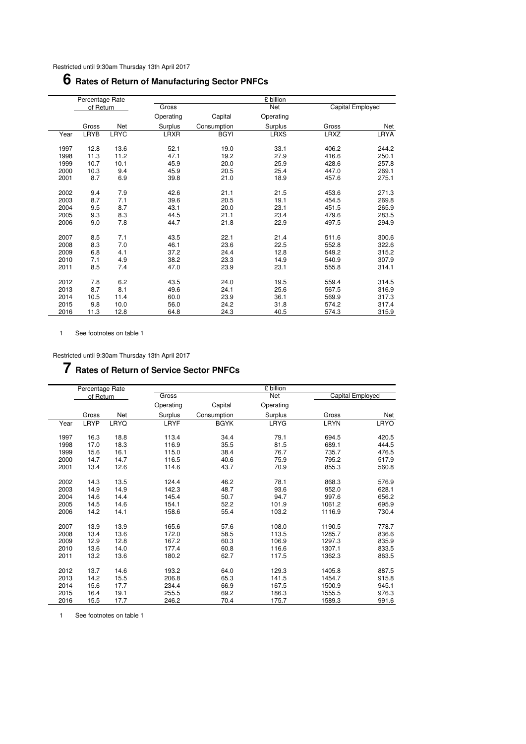## **Rates of Return of Manufacturing Sector PNFCs**

|      | Percentage Rate |             |             |             | £ billion   |                  |             |
|------|-----------------|-------------|-------------|-------------|-------------|------------------|-------------|
|      | of Return       |             | Gross       |             | Net         | Capital Employed |             |
|      |                 |             | Operating   | Capital     | Operating   |                  |             |
|      | Gross           | Net         | Surplus     | Consumption | Surplus     | Gross            | Net         |
| Year | LRYB            | <b>LRYC</b> | <b>LRXR</b> | <b>BGYI</b> | <b>LRXS</b> | <b>LRXZ</b>      | <b>LRYA</b> |
| 1997 | 12.8            | 13.6        | 52.1        | 19.0        | 33.1        | 406.2            | 244.2       |
| 1998 | 11.3            | 11.2        | 47.1        | 19.2        | 27.9        | 416.6            | 250.1       |
| 1999 | 10.7            | 10.1        | 45.9        | 20.0        | 25.9        | 428.6            | 257.8       |
| 2000 | 10.3            | 9.4         | 45.9        | 20.5        | 25.4        | 447.0            | 269.1       |
| 2001 | 8.7             | 6.9         | 39.8        | 21.0        | 18.9        | 457.6            | 275.1       |
| 2002 | 9.4             | 7.9         | 42.6        | 21.1        | 21.5        | 453.6            | 271.3       |
| 2003 | 8.7             | 7.1         | 39.6        | 20.5        | 19.1        | 454.5            | 269.8       |
| 2004 | 9.5             | 8.7         | 43.1        | 20.0        | 23.1        | 451.5            | 265.9       |
| 2005 | 9.3             | 8.3         | 44.5        | 21.1        | 23.4        | 479.6            | 283.5       |
| 2006 | 9.0             | 7.8         | 44.7        | 21.8        | 22.9        | 497.5            | 294.9       |
| 2007 | 8.5             | 7.1         | 43.5        | 22.1        | 21.4        | 511.6            | 300.6       |
| 2008 | 8.3             | 7.0         | 46.1        | 23.6        | 22.5        | 552.8            | 322.6       |
| 2009 | 6.8             | 4.1         | 37.2        | 24.4        | 12.8        | 549.2            | 315.2       |
| 2010 | 7.1             | 4.9         | 38.2        | 23.3        | 14.9        | 540.9            | 307.9       |
| 2011 | 8.5             | 7.4         | 47.0        | 23.9        | 23.1        | 555.8            | 314.1       |
| 2012 | 7.8             | 6.2         | 43.5        | 24.0        | 19.5        | 559.4            | 314.5       |
| 2013 | 8.7             | 8.1         | 49.6        | 24.1        | 25.6        | 567.5            | 316.9       |
| 2014 | 10.5            | 11.4        | 60.0        | 23.9        | 36.1        | 569.9            | 317.3       |
| 2015 | 9.8             | 10.0        | 56.0        | 24.2        | 31.8        | 574.2            | 317.4       |
| 2016 | 11.3            | 12.8        | 64.8        | 24.3        | 40.5        | 574.3            | 315.9       |

1 See footnotes on table 1

Restricted until 9:30am Thursday 13th April 2017

## **Rates of Return of Service Sector PNFCs**

|      | Percentage Rate |      |           |             | £ billion |                  |             |
|------|-----------------|------|-----------|-------------|-----------|------------------|-------------|
|      | of Return       |      | Gross     |             | Net       | Capital Employed |             |
|      |                 |      | Operating | Capital     | Operating |                  |             |
|      | Gross           | Net  | Surplus   | Consumption | Surplus   | Gross            | Net         |
| Year | LRYP            | LRYQ | LRYF      | <b>BGYK</b> | LRYG      | LRYN             | <b>LRYO</b> |
| 1997 | 16.3            | 18.8 | 113.4     | 34.4        | 79.1      | 694.5            | 420.5       |
| 1998 | 17.0            | 18.3 | 116.9     | 35.5        | 81.5      | 689.1            | 444.5       |
| 1999 | 15.6            | 16.1 | 115.0     | 38.4        | 76.7      | 735.7            | 476.5       |
| 2000 | 14.7            | 14.7 | 116.5     | 40.6        | 75.9      | 795.2            | 517.9       |
| 2001 | 13.4            | 12.6 | 114.6     | 43.7        | 70.9      | 855.3            | 560.8       |
| 2002 | 14.3            | 13.5 | 124.4     | 46.2        | 78.1      | 868.3            | 576.9       |
| 2003 | 14.9            | 14.9 | 142.3     | 48.7        | 93.6      | 952.0            | 628.1       |
| 2004 | 14.6            | 14.4 | 145.4     | 50.7        | 94.7      | 997.6            | 656.2       |
| 2005 | 14.5            | 14.6 | 154.1     | 52.2        | 101.9     | 1061.2           | 695.9       |
| 2006 | 14.2            | 14.1 | 158.6     | 55.4        | 103.2     | 1116.9           | 730.4       |
| 2007 | 13.9            | 13.9 | 165.6     | 57.6        | 108.0     | 1190.5           | 778.7       |
| 2008 | 13.4            | 13.6 | 172.0     | 58.5        | 113.5     | 1285.7           | 836.6       |
| 2009 | 12.9            | 12.8 | 167.2     | 60.3        | 106.9     | 1297.3           | 835.9       |
| 2010 | 13.6            | 14.0 | 177.4     | 60.8        | 116.6     | 1307.1           | 833.5       |
| 2011 | 13.2            | 13.6 | 180.2     | 62.7        | 117.5     | 1362.3           | 863.5       |
| 2012 | 13.7            | 14.6 | 193.2     | 64.0        | 129.3     | 1405.8           | 887.5       |
| 2013 | 14.2            | 15.5 | 206.8     | 65.3        | 141.5     | 1454.7           | 915.8       |
| 2014 | 15.6            | 17.7 | 234.4     | 66.9        | 167.5     | 1500.9           | 945.1       |
| 2015 | 16.4            | 19.1 | 255.5     | 69.2        | 186.3     | 1555.5           | 976.3       |
| 2016 | 15.5            | 17.7 | 246.2     | 70.4        | 175.7     | 1589.3           | 991.6       |

1 See footnotes on table 1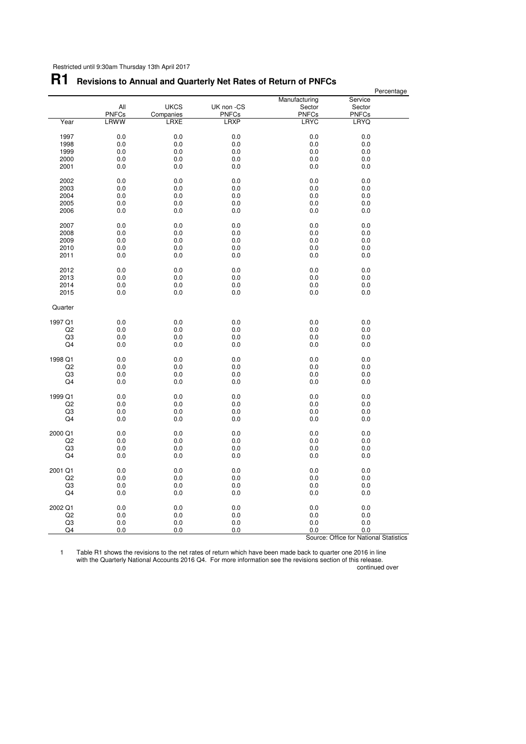# **R1 Revisions to Annual and Quarterly Net Rates of Return of PNFCs**

|                |              |             |              |               | Percentage                             |  |
|----------------|--------------|-------------|--------------|---------------|----------------------------------------|--|
|                |              |             |              | Manufacturing | Service                                |  |
|                | All          | <b>UKCS</b> | UK non -CS   | Sector        | Sector                                 |  |
|                | <b>PNFCs</b> | Companies   | <b>PNFCs</b> | <b>PNFCs</b>  | <b>PNFCs</b>                           |  |
| Year           | LRWW         | <b>LRXE</b> | <b>LRXP</b>  | <b>LRYC</b>   | <b>LRYQ</b>                            |  |
|                |              |             |              |               |                                        |  |
| 1997           | 0.0          | 0.0         | 0.0          | 0.0           | 0.0                                    |  |
| 1998           | 0.0          | 0.0         | 0.0          | 0.0           | 0.0                                    |  |
| 1999           | 0.0          |             |              |               | 0.0                                    |  |
|                |              | 0.0         | 0.0          | 0.0           |                                        |  |
| 2000           | 0.0          | 0.0         | 0.0          | 0.0           | 0.0                                    |  |
| 2001           | 0.0          | 0.0         | 0.0          | 0.0           | 0.0                                    |  |
| 2002           | 0.0          | 0.0         | 0.0          | 0.0           | 0.0                                    |  |
| 2003           | 0.0          | 0.0         | 0.0          | 0.0           | 0.0                                    |  |
|                |              |             |              |               |                                        |  |
| 2004           | 0.0          | 0.0         | 0.0          | 0.0           | 0.0                                    |  |
| 2005           | 0.0          | 0.0         | 0.0          | 0.0           | 0.0                                    |  |
| 2006           | 0.0          | 0.0         | 0.0          | 0.0           | 0.0                                    |  |
| 2007           | 0.0          | 0.0         | 0.0          | 0.0           | 0.0                                    |  |
|                |              |             |              |               |                                        |  |
| 2008           | 0.0          | 0.0         | 0.0          | 0.0           | 0.0                                    |  |
| 2009           | 0.0          | 0.0         | 0.0          | 0.0           | 0.0                                    |  |
| 2010           | 0.0          | 0.0         | 0.0          | 0.0           | 0.0                                    |  |
| 2011           | 0.0          | 0.0         | 0.0          | 0.0           | 0.0                                    |  |
|                |              |             |              |               |                                        |  |
| 2012           | 0.0          | 0.0         | 0.0          | 0.0           | 0.0                                    |  |
| 2013           | 0.0          | 0.0         | 0.0          | 0.0           | 0.0                                    |  |
| 2014           | 0.0          | 0.0         | 0.0          | 0.0           | 0.0                                    |  |
|                |              |             |              |               |                                        |  |
| 2015           | $0.0\,$      | 0.0         | 0.0          | 0.0           | 0.0                                    |  |
| Quarter        |              |             |              |               |                                        |  |
| 1997 Q1        |              |             |              |               |                                        |  |
|                | 0.0          | 0.0         | 0.0          | 0.0           | 0.0                                    |  |
| Q <sub>2</sub> | 0.0          | 0.0         | 0.0          | 0.0           | 0.0                                    |  |
| Q3             | 0.0          | 0.0         | 0.0          | 0.0           | 0.0                                    |  |
| Q4             | 0.0          | 0.0         | 0.0          | 0.0           | 0.0                                    |  |
|                |              |             |              |               |                                        |  |
| 1998 Q1        | 0.0          | 0.0         | 0.0          | 0.0           | 0.0                                    |  |
| Q2             | 0.0          | 0.0         | 0.0          | 0.0           | 0.0                                    |  |
| Q <sub>3</sub> | 0.0          | 0.0         | 0.0          | 0.0           | 0.0                                    |  |
| Q <sub>4</sub> | 0.0          | 0.0         | 0.0          | 0.0           | 0.0                                    |  |
|                |              |             |              |               |                                        |  |
| 1999 Q1        | 0.0          | 0.0         | 0.0          | 0.0           | 0.0                                    |  |
| Q <sub>2</sub> | 0.0          | 0.0         | 0.0          | 0.0           | 0.0                                    |  |
| Q3             | 0.0          | 0.0         | 0.0          | 0.0           | 0.0                                    |  |
| Q4             | 0.0          | 0.0         | 0.0          | 0.0           | 0.0                                    |  |
|                |              |             |              |               |                                        |  |
| 2000 Q1        | 0.0          | 0.0         | 0.0          | 0.0           | 0.0                                    |  |
| Q2             | 0.0          | 0.0         | 0.0          | 0.0           | 0.0                                    |  |
| Q3             | 0.0          | 0.0         | 0.0          | 0.0           | 0.0                                    |  |
|                |              |             |              |               |                                        |  |
| Q4             | 0.0          | 0.0         | 0.0          | 0.0           | 0.0                                    |  |
| 2001 Q1        | 0.0          | 0.0         | 0.0          | 0.0           | 0.0                                    |  |
| Q2             | 0.0          | 0.0         | 0.0          | 0.0           | 0.0                                    |  |
|                |              |             |              |               |                                        |  |
| Q3             | 0.0          | 0.0         | 0.0          | 0.0           | 0.0                                    |  |
| Q4             | 0.0          | 0.0         | 0.0          | 0.0           | 0.0                                    |  |
| 2002 Q1        | 0.0          | 0.0         | 0.0          | 0.0           | 0.0                                    |  |
|                |              |             |              |               |                                        |  |
| Q <sub>2</sub> | 0.0          | 0.0         | 0.0          | 0.0           | 0.0                                    |  |
| Q3             | 0.0          | 0.0         | 0.0          | 0.0           | 0.0                                    |  |
| Q4             | 0.0          | 0.0         | 0.0          | 0.0           | 0.0                                    |  |
|                |              |             |              |               | Source: Office for National Statistics |  |

1 Table R1 shows the revisions to the net rates of return which have been made back to quarter one 2016 in line with the Quarterly National Accounts 2016 Q4. For more information see the revisions section of this release.

continued over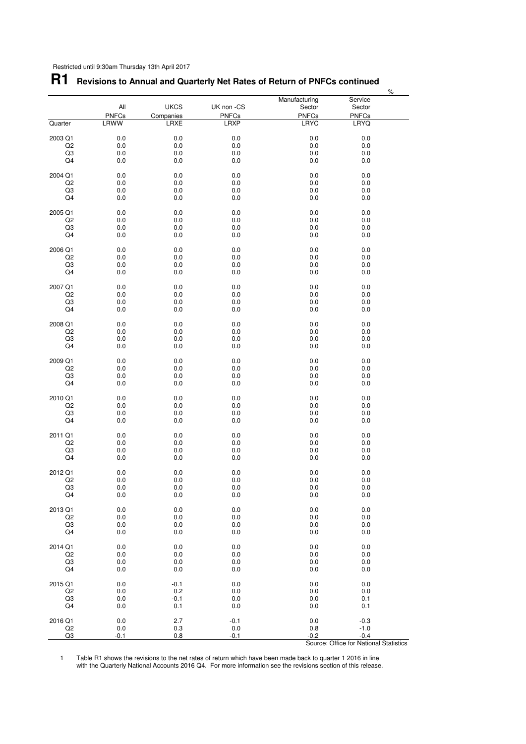## **R1 Revisions to Annual and Quarterly Net Rates of Return of PNFCs continued**

|                |                      |                   |                      |                             |                             | $\%$ |
|----------------|----------------------|-------------------|----------------------|-----------------------------|-----------------------------|------|
|                |                      |                   |                      | Manufacturing               | Service                     |      |
|                | All                  | <b>UKCS</b>       | UK non -CS           | Sector                      | Sector                      |      |
| Quarter        | <b>PNFCs</b><br>LRWW | Companies<br>LRXE | PNFCs<br><b>LRXP</b> | <b>PNFCs</b><br><b>LRYC</b> | <b>PNFCs</b><br><b>LRYQ</b> |      |
|                |                      |                   |                      |                             |                             |      |
| 2003 Q1        | 0.0                  | 0.0               | 0.0                  | $0.0\,$                     | 0.0                         |      |
| Q2             | $0.0\,$              | $0.0\,$           | 0.0                  | $0.0\,$                     | 0.0                         |      |
| Q3             | 0.0                  | 0.0               | 0.0                  | 0.0                         | 0.0                         |      |
| Q4             | 0.0                  | 0.0               | 0.0                  | 0.0                         | 0.0                         |      |
|                |                      |                   |                      |                             |                             |      |
| 2004 Q1<br>Q2  | 0.0<br>0.0           | 0.0<br>0.0        | 0.0<br>0.0           | 0.0<br>0.0                  | 0.0<br>0.0                  |      |
| Q3             | 0.0                  | 0.0               | 0.0                  | 0.0                         | 0.0                         |      |
| Q4             | 0.0                  | 0.0               | 0.0                  | 0.0                         | 0.0                         |      |
|                |                      |                   |                      |                             |                             |      |
| 2005 Q1        | 0.0                  | 0.0               | 0.0                  | $0.0\,$                     | $0.0\,$                     |      |
| Q2             | $0.0\,$              | $0.0\,$           | 0.0                  | $0.0\,$                     | 0.0                         |      |
| Q3<br>Q4       | 0.0<br>0.0           | 0.0<br>0.0        | 0.0<br>0.0           | 0.0<br>0.0                  | 0.0<br>0.0                  |      |
|                |                      |                   |                      |                             |                             |      |
| 2006 Q1        | 0.0                  | 0.0               | 0.0                  | 0.0                         | 0.0                         |      |
| Q2             | 0.0                  | 0.0               | 0.0                  | 0.0                         | 0.0                         |      |
| Q3             | 0.0                  | 0.0               | 0.0                  | 0.0                         | 0.0                         |      |
| Q4             | 0.0                  | 0.0               | 0.0                  | 0.0                         | 0.0                         |      |
| 2007 Q1        | 0.0                  | 0.0               | 0.0                  | $0.0\,$                     | $0.0\,$                     |      |
| Q2             | $0.0\,$              | $0.0\,$           | 0.0                  | $0.0\,$                     | 0.0                         |      |
| Q3             | 0.0                  | 0.0               | 0.0                  | 0.0                         | 0.0                         |      |
| Q4             | 0.0                  | 0.0               | 0.0                  | 0.0                         | 0.0                         |      |
|                |                      |                   |                      |                             |                             |      |
| 2008 Q1        | 0.0                  | 0.0               | 0.0                  | 0.0                         | 0.0                         |      |
| Q2             | 0.0                  | $0.0\,$           | 0.0                  | 0.0                         | 0.0                         |      |
| Q3<br>Q4       | 0.0<br>0.0           | 0.0<br>0.0        | 0.0<br>0.0           | 0.0<br>0.0                  | 0.0<br>0.0                  |      |
|                |                      |                   |                      |                             |                             |      |
| 2009 Q1        | 0.0                  | 0.0               | 0.0                  | $0.0\,$                     | $0.0\,$                     |      |
| Q2             | $0.0\,$              | $0.0\,$           | 0.0                  | $0.0\,$                     | 0.0                         |      |
| Q3             | 0.0                  | 0.0               | 0.0                  | 0.0                         | 0.0                         |      |
| Q4             | 0.0                  | 0.0               | 0.0                  | 0.0                         | 0.0                         |      |
| 2010 Q1        | 0.0                  | 0.0               | 0.0                  | 0.0                         | 0.0                         |      |
| Q2             | 0.0                  | $0.0\,$           | 0.0                  | 0.0                         | 0.0                         |      |
| Q3             | 0.0                  | 0.0               | 0.0                  | 0.0                         | 0.0                         |      |
| Q4             | 0.0                  | 0.0               | 0.0                  | 0.0                         | 0.0                         |      |
|                |                      |                   |                      |                             |                             |      |
| 2011 Q1        | 0.0                  | 0.0               | 0.0                  | 0.0                         | $0.0\,$                     |      |
| Q2<br>Q3       | $0.0\,$<br>0.0       | $0.0\,$<br>0.0    | 0.0<br>0.0           | $0.0\,$<br>0.0              | 0.0<br>0.0                  |      |
| Q4             | 0.0                  | 0.0               | 0.0                  | 0.0                         | 0.0                         |      |
|                |                      |                   |                      |                             |                             |      |
| 2012 Q1        | 0.0                  | 0.0               | 0.0                  | 0.0                         | 0.0                         |      |
| Q <sub>2</sub> | 0.0                  | 0.0               | 0.0                  | 0.0                         | 0.0                         |      |
| Q3             | $0.0\,$              | $0.0\,$           | $0.0\,$              | $0.0\,$                     | $0.0\,$                     |      |
| Q <sub>4</sub> | 0.0                  | 0.0               | 0.0                  | 0.0                         | 0.0                         |      |
| 2013 Q1        | 0.0                  | 0.0               | 0.0                  | 0.0                         | 0.0                         |      |
| Q <sub>2</sub> | 0.0                  | 0.0               | 0.0                  | 0.0                         | 0.0                         |      |
| Q3             | 0.0                  | 0.0               | 0.0                  | 0.0                         | 0.0                         |      |
| Q4             | 0.0                  | 0.0               | 0.0                  | 0.0                         | 0.0                         |      |
|                |                      |                   |                      |                             |                             |      |
| 2014 Q1        | 0.0                  | 0.0               | 0.0                  | 0.0                         | 0.0                         |      |
| Q2             | $0.0\,$<br>0.0       | $0.0\,$<br>0.0    | 0.0                  | 0.0                         | 0.0                         |      |
| Q3<br>Q4       | 0.0                  | 0.0               | 0.0<br>0.0           | 0.0<br>0.0                  | 0.0<br>0.0                  |      |
|                |                      |                   |                      |                             |                             |      |
| 2015 Q1        | 0.0                  | $-0.1$            | 0.0                  | 0.0                         | 0.0                         |      |
| Q <sub>2</sub> | 0.0                  | 0.2               | 0.0                  | 0.0                         | 0.0                         |      |
| Q3             | 0.0                  | $-0.1$            | 0.0                  | 0.0                         | 0.1                         |      |
| Q4             | 0.0                  | 0.1               | 0.0                  | 0.0                         | 0.1                         |      |
| 2016 Q1        | 0.0                  | 2.7               | $-0.1$               | 0.0                         | $-0.3$                      |      |
| Q2             | $0.0\,$              | 0.3               | 0.0                  | $0.8\,$                     | $-1.0$                      |      |
| Q3             | -0.1                 | 0.8               | $-0.1$               | $-0.2$                      | $-0.4$                      |      |

1 Table R1 shows the revisions to the net rates of return which have been made back to quarter 1 2016 in line with the Quarterly National Accounts 2016 Q4. For more information see the revisions section of this release.